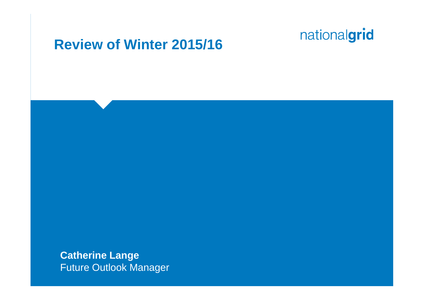#### **Review of Winter 2015/16**

**Catherine Lange** Future Outlook Manager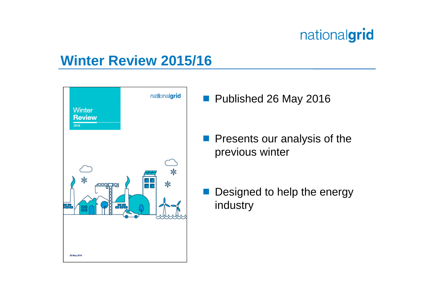### **Winter Review 2015/16**



- Published 26 May 2016
- **Presents our analysis of the** previous winter
	- Designed to help the energy industry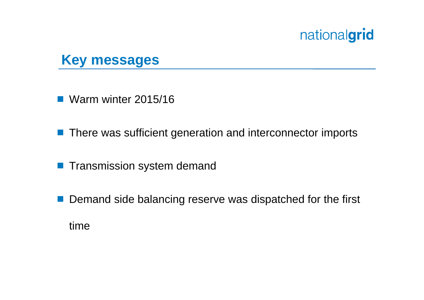### **Key messages**

**Warm winter 2015/16** 

- **There was sufficient generation and interconnector imports**
- **Transmission system demand**
- Demand side balancing reserve was dispatched for the first time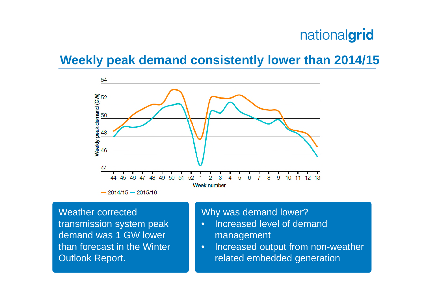#### **Weekly peak demand consistently lower than 2014/15**



Weather corrected transmission system peak demand was 1 GW lower than forecast in the Winter Outlook Report.

#### Why was demand lower?

- Increased level of demand management
- Increased output from non-weather related embedded generation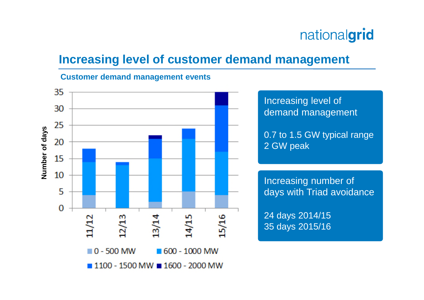#### **Increasing level of customer demand management**

#### **Customer demand management events**

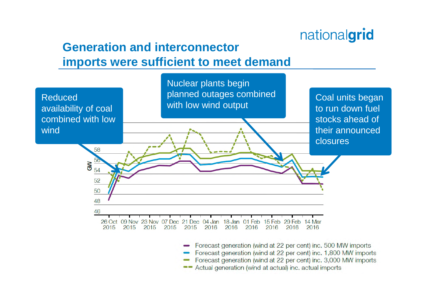#### **Generation and interconnector imports were sufficient to meet demand**



- Forecast generation (wind at 22 per cent) inc. 3,000 MW imports
- Actual generation (wind at actual) inc. actual imports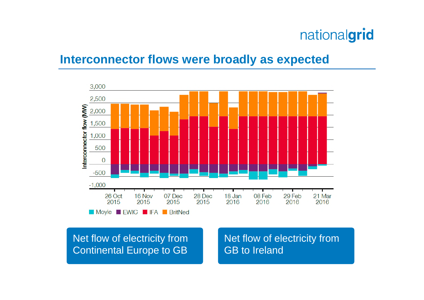#### **Interconnector flows were broadly as expected**



Net flow of electricity from Continental Europe to GB Net flow of electricity from GB to Ireland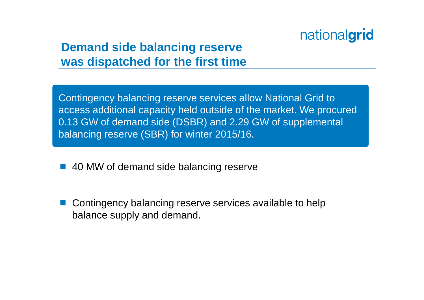#### **Demand side balancing reserve was dispatched for the first time**

Contingency balancing reserve services allow National Grid to access additional capacity held outside of the market. We procured 0.13 GW of demand side (DSBR) and 2.29 GW of supplemental balancing reserve (SBR) for winter 2015/16.

- 40 MW of demand side balancing reserve
- Contingency balancing reserve services available to help balance supply and demand.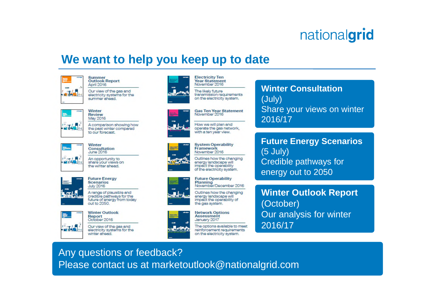#### **We want to help you keep up to date**







**Flectricity Ten** 



**Gas Ten Year Statement** November 2016 How we will plan and operate the gas network.

**System Operability** Framework November 2016

with a ten year view.

Outlines how the changing energy landscape will impact the operability of the electricity system.

**Future Operability** Planning November/December 2016

Outlines how the changing energy landscape will impact the operability of the gas system.



The options available to meet reinforcement requirements on the electricity system.

**Winter Consultation** (July) Share your views on winter 2016/17

**Future Energy Scenarios** (5 July) Credible pathways for energy out to 2050

**Winter Outlook Report** (October) Our analysis for winter 2016/17

Any questions or feedback? Please contact us at marketoutlook@nationalgrid.com